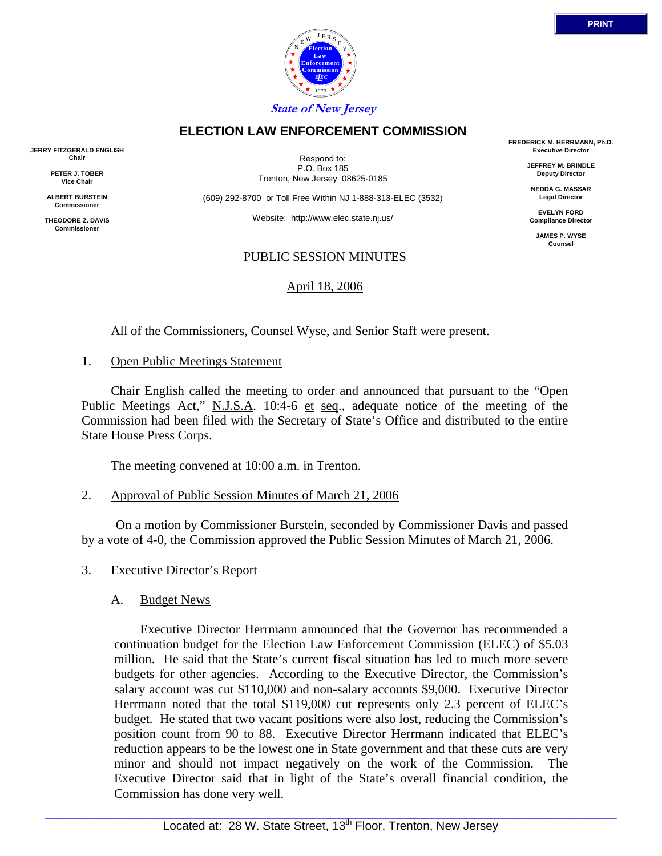



Respond to: P.O. Box 185 Trenton, New Jersey 08625-0185

**ELECTION LAW ENFORCEMENT COMMISSION**

(609) 292-8700 or Toll Free Within NJ 1-888-313-ELEC (3532)

Website: http://www.elec.state.nj.us/

#### PUBLIC SESSION MINUTES

#### April 18, 2006

All of the Commissioners, Counsel Wyse, and Senior Staff were present.

#### 1. Open Public Meetings Statement

 Chair English called the meeting to order and announced that pursuant to the "Open Public Meetings Act," N.J.S.A. 10:4-6 et seq., adequate notice of the meeting of the Commission had been filed with the Secretary of State's Office and distributed to the entire State House Press Corps.

The meeting convened at 10:00 a.m. in Trenton.

2. Approval of Public Session Minutes of March 21, 2006

 On a motion by Commissioner Burstein, seconded by Commissioner Davis and passed by a vote of 4-0, the Commission approved the Public Session Minutes of March 21, 2006.

- 3. Executive Director's Report
	- A. Budget News

 Executive Director Herrmann announced that the Governor has recommended a continuation budget for the Election Law Enforcement Commission (ELEC) of \$5.03 million. He said that the State's current fiscal situation has led to much more severe budgets for other agencies. According to the Executive Director, the Commission's salary account was cut \$110,000 and non-salary accounts \$9,000. Executive Director Herrmann noted that the total \$119,000 cut represents only 2.3 percent of ELEC's budget. He stated that two vacant positions were also lost, reducing the Commission's position count from 90 to 88. Executive Director Herrmann indicated that ELEC's reduction appears to be the lowest one in State government and that these cuts are very minor and should not impact negatively on the work of the Commission. The Executive Director said that in light of the State's overall financial condition, the Commission has done very well.

**FREDERICK M. HERRMANN, Ph.D. Executive Director**

> **JEFFREY M. BRINDLE Deputy Director**

**NEDDA G. MASSAR Legal Director**

**EVELYN FORD Compliance Director**

> **JAMES P. WYSE Counsel**



**JERRY FITZGERALD ENGLISH Chair**

> **PETER J. TOBER Vice Chair**

**ALBERT BURSTEIN Commissioner** 

**THEODORE Z. DAVIS Commissione**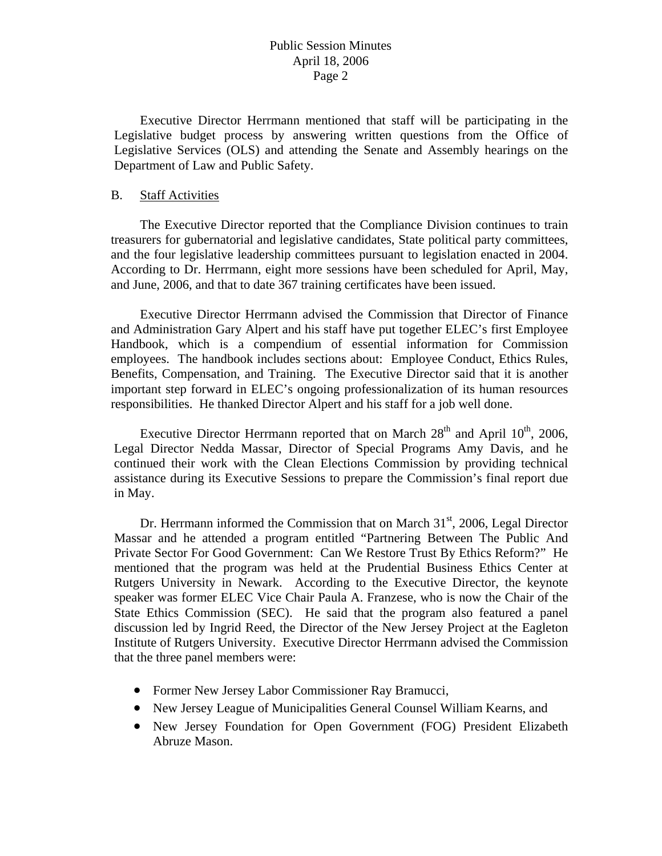# Public Session Minutes April 18, 2006 Page 2

 Executive Director Herrmann mentioned that staff will be participating in the Legislative budget process by answering written questions from the Office of Legislative Services (OLS) and attending the Senate and Assembly hearings on the Department of Law and Public Safety.

#### B. Staff Activities

 The Executive Director reported that the Compliance Division continues to train treasurers for gubernatorial and legislative candidates, State political party committees, and the four legislative leadership committees pursuant to legislation enacted in 2004. According to Dr. Herrmann, eight more sessions have been scheduled for April, May, and June, 2006, and that to date 367 training certificates have been issued.

 Executive Director Herrmann advised the Commission that Director of Finance and Administration Gary Alpert and his staff have put together ELEC's first Employee Handbook, which is a compendium of essential information for Commission employees. The handbook includes sections about: Employee Conduct, Ethics Rules, Benefits, Compensation, and Training. The Executive Director said that it is another important step forward in ELEC's ongoing professionalization of its human resources responsibilities. He thanked Director Alpert and his staff for a job well done.

Executive Director Herrmann reported that on March  $28<sup>th</sup>$  and April  $10<sup>th</sup>$ , 2006, Legal Director Nedda Massar, Director of Special Programs Amy Davis, and he continued their work with the Clean Elections Commission by providing technical assistance during its Executive Sessions to prepare the Commission's final report due in May.

Dr. Herrmann informed the Commission that on March  $31<sup>st</sup>$ , 2006, Legal Director Massar and he attended a program entitled "Partnering Between The Public And Private Sector For Good Government: Can We Restore Trust By Ethics Reform?" He mentioned that the program was held at the Prudential Business Ethics Center at Rutgers University in Newark. According to the Executive Director, the keynote speaker was former ELEC Vice Chair Paula A. Franzese, who is now the Chair of the State Ethics Commission (SEC). He said that the program also featured a panel discussion led by Ingrid Reed, the Director of the New Jersey Project at the Eagleton Institute of Rutgers University. Executive Director Herrmann advised the Commission that the three panel members were:

- Former New Jersey Labor Commissioner Ray Bramucci,
- New Jersey League of Municipalities General Counsel William Kearns, and
- New Jersey Foundation for Open Government (FOG) President Elizabeth Abruze Mason.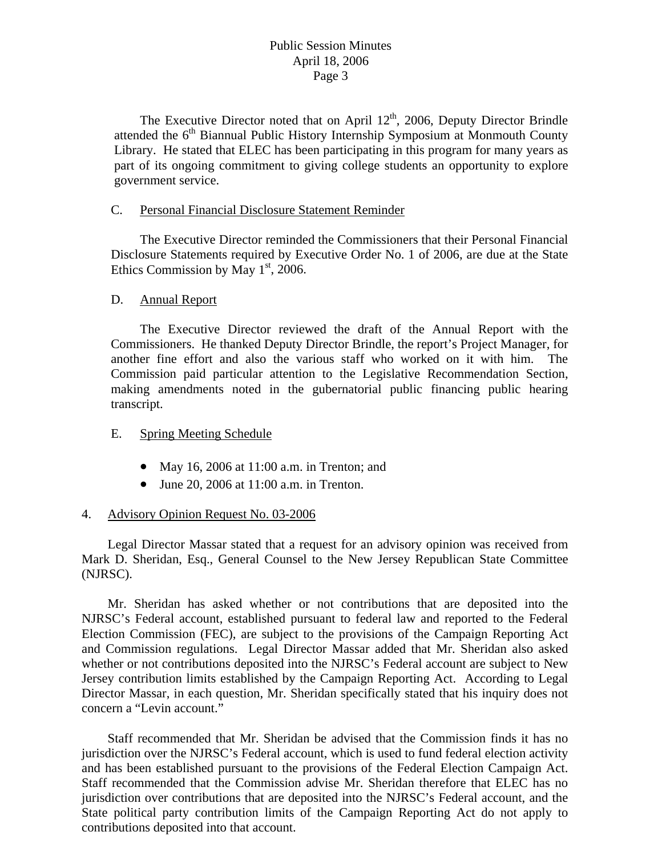The Executive Director noted that on April  $12<sup>th</sup>$ , 2006, Deputy Director Brindle attended the 6<sup>th</sup> Biannual Public History Internship Symposium at Monmouth County Library. He stated that ELEC has been participating in this program for many years as part of its ongoing commitment to giving college students an opportunity to explore government service.

#### C. Personal Financial Disclosure Statement Reminder

 The Executive Director reminded the Commissioners that their Personal Financial Disclosure Statements required by Executive Order No. 1 of 2006, are due at the State Ethics Commission by May  $1<sup>st</sup>$ , 2006.

# D. Annual Report

 The Executive Director reviewed the draft of the Annual Report with the Commissioners. He thanked Deputy Director Brindle, the report's Project Manager, for another fine effort and also the various staff who worked on it with him. The Commission paid particular attention to the Legislative Recommendation Section, making amendments noted in the gubernatorial public financing public hearing transcript.

# E. Spring Meeting Schedule

- May 16, 2006 at 11:00 a.m. in Trenton; and
- June 20, 2006 at  $11:00$  a.m. in Trenton.

# 4. Advisory Opinion Request No. 03-2006

 Legal Director Massar stated that a request for an advisory opinion was received from Mark D. Sheridan, Esq., General Counsel to the New Jersey Republican State Committee (NJRSC).

 Mr. Sheridan has asked whether or not contributions that are deposited into the NJRSC's Federal account, established pursuant to federal law and reported to the Federal Election Commission (FEC), are subject to the provisions of the Campaign Reporting Act and Commission regulations. Legal Director Massar added that Mr. Sheridan also asked whether or not contributions deposited into the NJRSC's Federal account are subject to New Jersey contribution limits established by the Campaign Reporting Act. According to Legal Director Massar, in each question, Mr. Sheridan specifically stated that his inquiry does not concern a "Levin account."

 Staff recommended that Mr. Sheridan be advised that the Commission finds it has no jurisdiction over the NJRSC's Federal account, which is used to fund federal election activity and has been established pursuant to the provisions of the Federal Election Campaign Act. Staff recommended that the Commission advise Mr. Sheridan therefore that ELEC has no jurisdiction over contributions that are deposited into the NJRSC's Federal account, and the State political party contribution limits of the Campaign Reporting Act do not apply to contributions deposited into that account.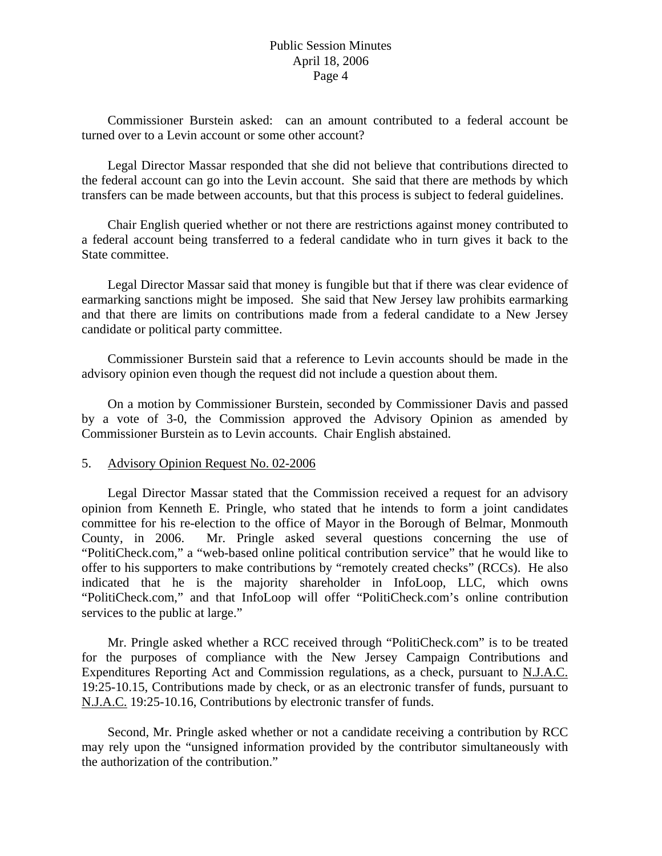# Public Session Minutes April 18, 2006 Page 4

 Commissioner Burstein asked: can an amount contributed to a federal account be turned over to a Levin account or some other account?

 Legal Director Massar responded that she did not believe that contributions directed to the federal account can go into the Levin account. She said that there are methods by which transfers can be made between accounts, but that this process is subject to federal guidelines.

 Chair English queried whether or not there are restrictions against money contributed to a federal account being transferred to a federal candidate who in turn gives it back to the State committee.

 Legal Director Massar said that money is fungible but that if there was clear evidence of earmarking sanctions might be imposed. She said that New Jersey law prohibits earmarking and that there are limits on contributions made from a federal candidate to a New Jersey candidate or political party committee.

 Commissioner Burstein said that a reference to Levin accounts should be made in the advisory opinion even though the request did not include a question about them.

 On a motion by Commissioner Burstein, seconded by Commissioner Davis and passed by a vote of 3-0, the Commission approved the Advisory Opinion as amended by Commissioner Burstein as to Levin accounts. Chair English abstained.

#### 5. Advisory Opinion Request No. 02-2006

 Legal Director Massar stated that the Commission received a request for an advisory opinion from Kenneth E. Pringle, who stated that he intends to form a joint candidates committee for his re-election to the office of Mayor in the Borough of Belmar, Monmouth County, in 2006. Mr. Pringle asked several questions concerning the use of "PolitiCheck.com," a "web-based online political contribution service" that he would like to offer to his supporters to make contributions by "remotely created checks" (RCCs). He also indicated that he is the majority shareholder in InfoLoop, LLC, which owns "PolitiCheck.com," and that InfoLoop will offer "PolitiCheck.com's online contribution services to the public at large."

 Mr. Pringle asked whether a RCC received through "PolitiCheck.com" is to be treated for the purposes of compliance with the New Jersey Campaign Contributions and Expenditures Reporting Act and Commission regulations, as a check, pursuant to N.J.A.C. 19:25-10.15, Contributions made by check, or as an electronic transfer of funds, pursuant to N.J.A.C. 19:25-10.16, Contributions by electronic transfer of funds.

 Second, Mr. Pringle asked whether or not a candidate receiving a contribution by RCC may rely upon the "unsigned information provided by the contributor simultaneously with the authorization of the contribution."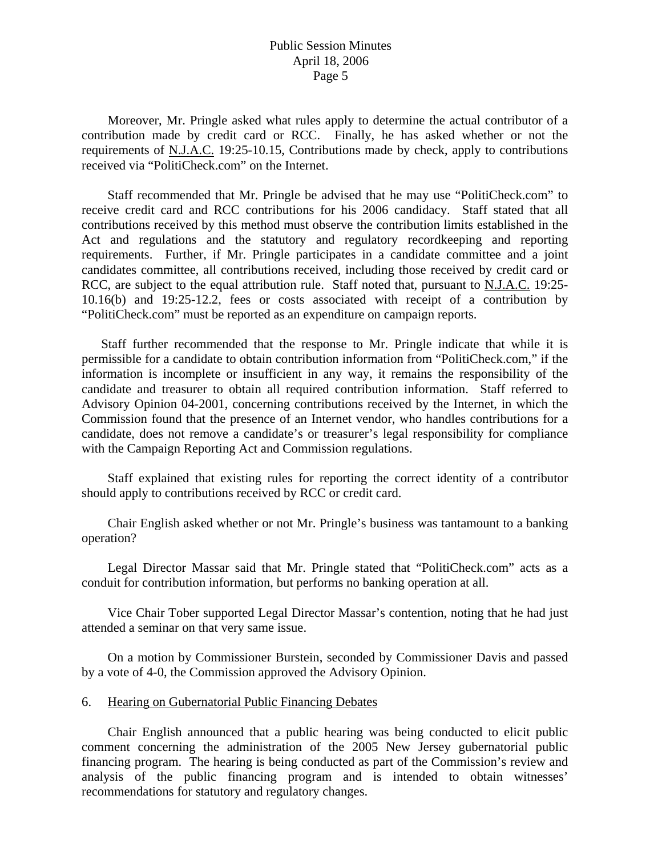#### Public Session Minutes April 18, 2006 Page 5

 Moreover, Mr. Pringle asked what rules apply to determine the actual contributor of a contribution made by credit card or RCC. Finally, he has asked whether or not the requirements of N.J.A.C. 19:25-10.15, Contributions made by check, apply to contributions received via "PolitiCheck.com" on the Internet.

 Staff recommended that Mr. Pringle be advised that he may use "PolitiCheck.com" to receive credit card and RCC contributions for his 2006 candidacy. Staff stated that all contributions received by this method must observe the contribution limits established in the Act and regulations and the statutory and regulatory recordkeeping and reporting requirements. Further, if Mr. Pringle participates in a candidate committee and a joint candidates committee, all contributions received, including those received by credit card or RCC, are subject to the equal attribution rule. Staff noted that, pursuant to N.J.A.C. 19:25- 10.16(b) and 19:25-12.2, fees or costs associated with receipt of a contribution by "PolitiCheck.com" must be reported as an expenditure on campaign reports.

 Staff further recommended that the response to Mr. Pringle indicate that while it is permissible for a candidate to obtain contribution information from "PolitiCheck.com," if the information is incomplete or insufficient in any way, it remains the responsibility of the candidate and treasurer to obtain all required contribution information. Staff referred to Advisory Opinion 04-2001, concerning contributions received by the Internet, in which the Commission found that the presence of an Internet vendor, who handles contributions for a candidate, does not remove a candidate's or treasurer's legal responsibility for compliance with the Campaign Reporting Act and Commission regulations.

 Staff explained that existing rules for reporting the correct identity of a contributor should apply to contributions received by RCC or credit card.

 Chair English asked whether or not Mr. Pringle's business was tantamount to a banking operation?

 Legal Director Massar said that Mr. Pringle stated that "PolitiCheck.com" acts as a conduit for contribution information, but performs no banking operation at all.

 Vice Chair Tober supported Legal Director Massar's contention, noting that he had just attended a seminar on that very same issue.

 On a motion by Commissioner Burstein, seconded by Commissioner Davis and passed by a vote of 4-0, the Commission approved the Advisory Opinion.

#### 6. Hearing on Gubernatorial Public Financing Debates

 Chair English announced that a public hearing was being conducted to elicit public comment concerning the administration of the 2005 New Jersey gubernatorial public financing program. The hearing is being conducted as part of the Commission's review and analysis of the public financing program and is intended to obtain witnesses' recommendations for statutory and regulatory changes.